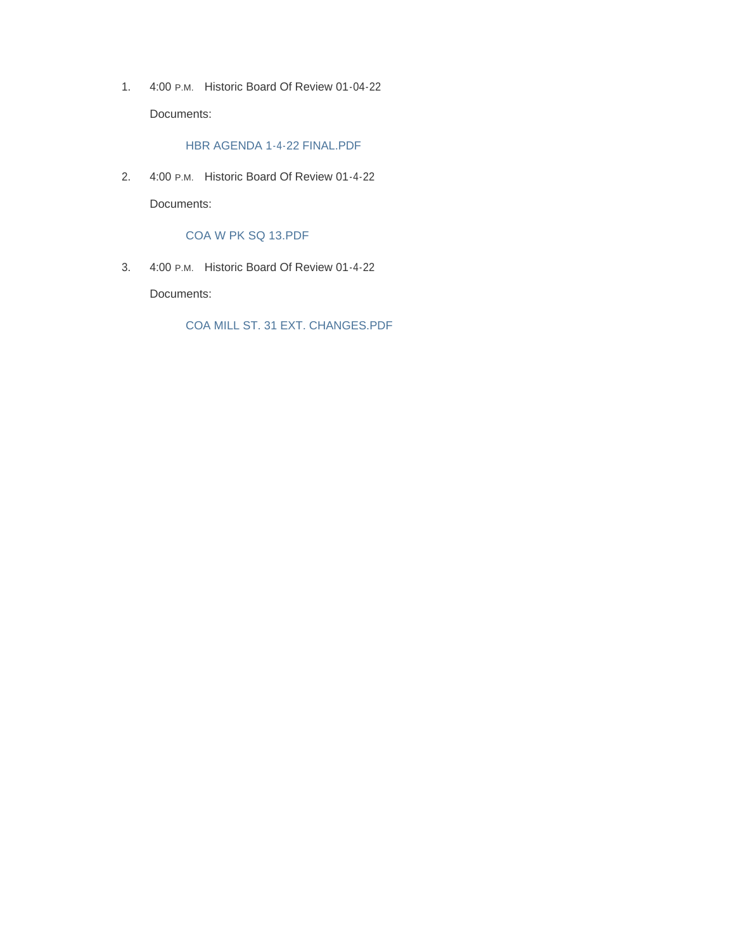1. 4:00 P.M. Historic Board Of Review 01-04-22 Documents:

HBR AGENDA 1-4-22 FINAL.PDF

2. 4:00 P.M. Historic Board Of Review 01-4-22 Documents:

COA W PK SQ 13.PDF

3. 4:00 P.M. Historic Board Of Review 01-4-22

Documents:

COA MILL ST. 31 EXT. CHANGES.PDF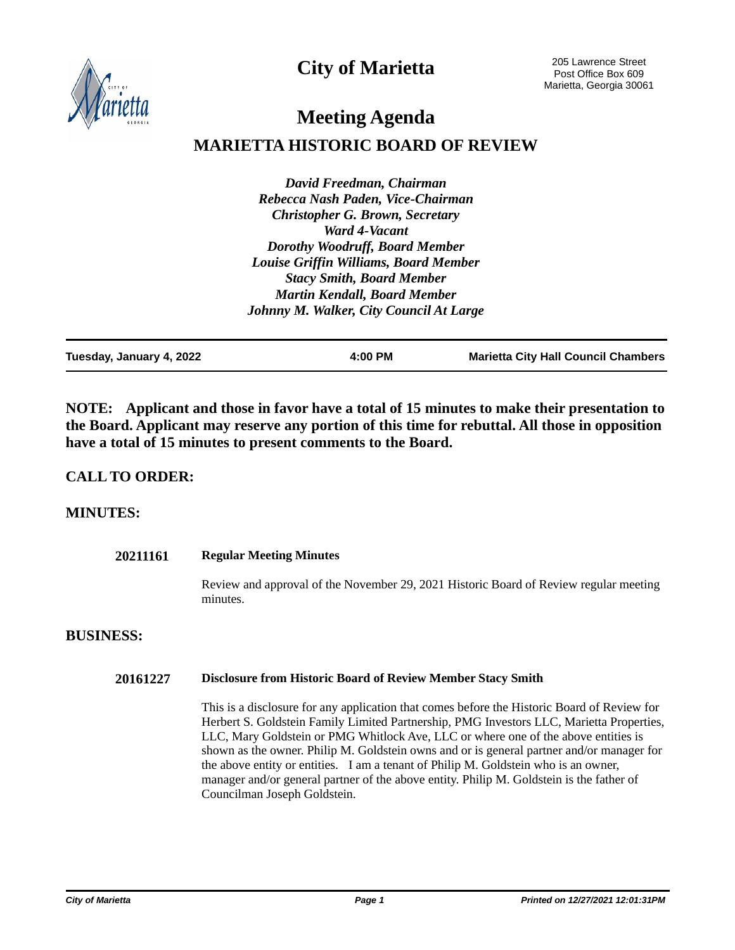**City of Marietta**



205 Lawrence Street Post Office Box 609 Marietta, Georgia 30061

# **Meeting Agenda**

## **MARIETTA HISTORIC BOARD OF REVIEW**

*David Freedman, Chairman Rebecca Nash Paden, Vice-Chairman Christopher G. Brown, Secretary Ward 4-Vacant Dorothy Woodruff, Board Member Louise Griffin Williams, Board Member Stacy Smith, Board Member Martin Kendall, Board Member Johnny M. Walker, City Council At Large*

| Tuesday, January 4, 2022 | 4:00 PM | <b>Marietta City Hall Council Chambers</b> |
|--------------------------|---------|--------------------------------------------|
|                          |         |                                            |

**NOTE: Applicant and those in favor have a total of 15 minutes to make their presentation to the Board. Applicant may reserve any portion of this time for rebuttal. All those in opposition have a total of 15 minutes to present comments to the Board.**

#### **CALL TO ORDER:**

#### **MINUTES:**

| 20211161         | <b>Regular Meeting Minutes</b>                                                                                                                                                                                                                                                                                                                                             |
|------------------|----------------------------------------------------------------------------------------------------------------------------------------------------------------------------------------------------------------------------------------------------------------------------------------------------------------------------------------------------------------------------|
|                  | Review and approval of the November 29, 2021 Historic Board of Review regular meeting<br>minutes.                                                                                                                                                                                                                                                                          |
| <b>BUSINESS:</b> |                                                                                                                                                                                                                                                                                                                                                                            |
| 20161227         | <b>Disclosure from Historic Board of Review Member Stacy Smith</b>                                                                                                                                                                                                                                                                                                         |
|                  | This is a disclosure for any application that comes before the Historic Board of Review for<br>Herbert S. Goldstein Family Limited Partnership, PMG Investors LLC, Marietta Properties,<br>LLC, Mary Goldstein or PMG Whitlock Ave, LLC or where one of the above entities is<br>shown as the owner. Philip M. Goldstein owns and or is general partner and/or manager for |

the above entity or entities. I am a tenant of Philip M. Goldstein who is an owner, manager and/or general partner of the above entity. Philip M. Goldstein is the father of

Councilman Joseph Goldstein.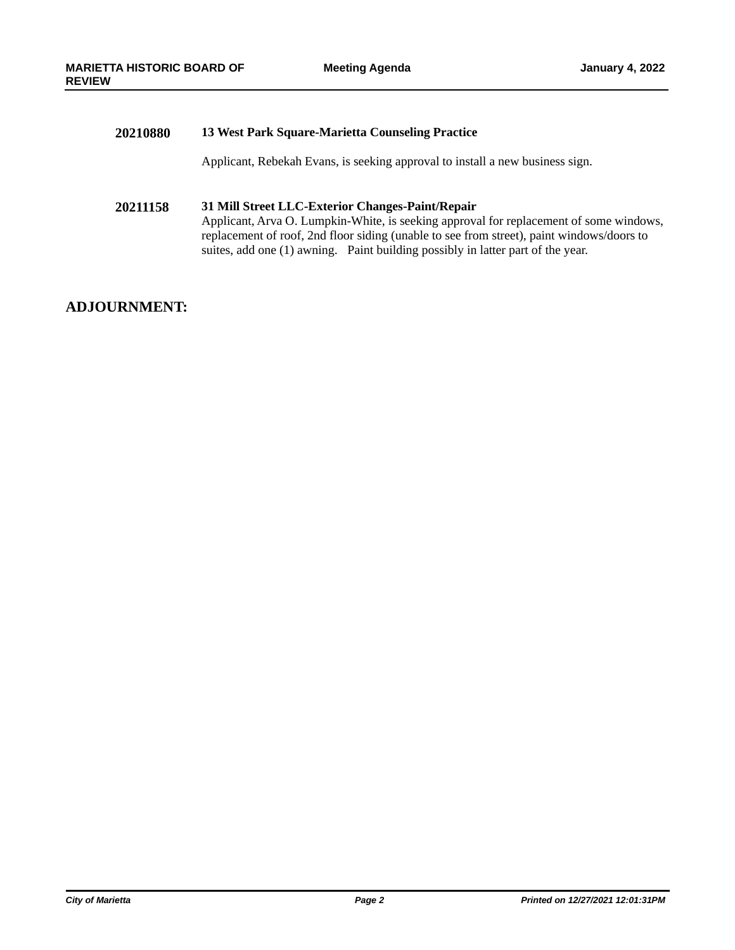#### **20210880 13 West Park Square-Marietta Counseling Practice**

Applicant, Rebekah Evans, is seeking approval to install a new business sign.

#### **20211158 31 Mill Street LLC-Exterior Changes-Paint/Repair**

Applicant, Arva O. Lumpkin-White, is seeking approval for replacement of some windows, replacement of roof, 2nd floor siding (unable to see from street), paint windows/doors to suites, add one (1) awning. Paint building possibly in latter part of the year.

#### **ADJOURNMENT:**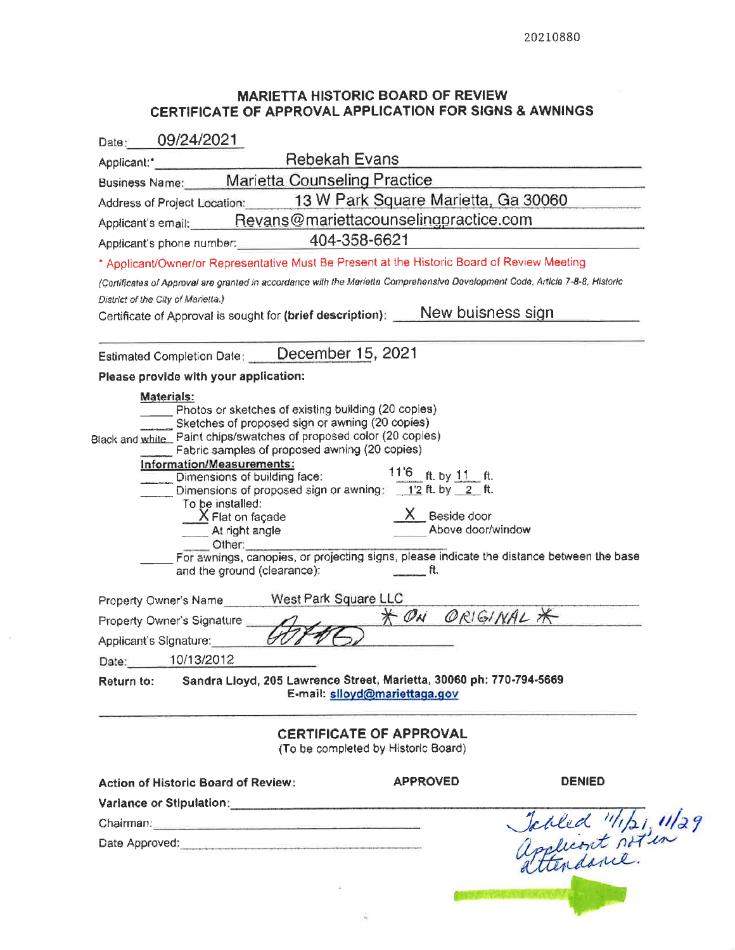#### **MARIETTA HISTORIC BOARD OF REVIEW** CERTIFICATE OF APPROVAL APPLICATION FOR SIGNS & AWNINGS

| 09/24/2021<br>Date:                                                                                                                                                                                                                                                                                                                                                                                                                                                                                                                                                                                                                                                                                                                                                                                                                                                                                                                                 |
|-----------------------------------------------------------------------------------------------------------------------------------------------------------------------------------------------------------------------------------------------------------------------------------------------------------------------------------------------------------------------------------------------------------------------------------------------------------------------------------------------------------------------------------------------------------------------------------------------------------------------------------------------------------------------------------------------------------------------------------------------------------------------------------------------------------------------------------------------------------------------------------------------------------------------------------------------------|
| Applicant: <b>CONFIRM REDEATE CARGINAL</b>                                                                                                                                                                                                                                                                                                                                                                                                                                                                                                                                                                                                                                                                                                                                                                                                                                                                                                          |
| Business Name: Marietta Counseling Practice                                                                                                                                                                                                                                                                                                                                                                                                                                                                                                                                                                                                                                                                                                                                                                                                                                                                                                         |
| Address of Project Location: 13 W Park Square Marietta, Ga 30060                                                                                                                                                                                                                                                                                                                                                                                                                                                                                                                                                                                                                                                                                                                                                                                                                                                                                    |
| Applicant's email: Revans@mariettacounselingpractice.com                                                                                                                                                                                                                                                                                                                                                                                                                                                                                                                                                                                                                                                                                                                                                                                                                                                                                            |
| Applicant's phone number: 404-358-6621                                                                                                                                                                                                                                                                                                                                                                                                                                                                                                                                                                                                                                                                                                                                                                                                                                                                                                              |
| * Applicant/Owner/or Representative Must Be Present at the Historic Board of Review Meeting                                                                                                                                                                                                                                                                                                                                                                                                                                                                                                                                                                                                                                                                                                                                                                                                                                                         |
| (Cortificates of Approval are granted in accordance with the Marietta Comprehensive Development Code, Article 7-8-8, Historic                                                                                                                                                                                                                                                                                                                                                                                                                                                                                                                                                                                                                                                                                                                                                                                                                       |
| District of the City of Marietta.)                                                                                                                                                                                                                                                                                                                                                                                                                                                                                                                                                                                                                                                                                                                                                                                                                                                                                                                  |
| Certificate of Approval is sought for (brief description): New buisness sign                                                                                                                                                                                                                                                                                                                                                                                                                                                                                                                                                                                                                                                                                                                                                                                                                                                                        |
| Estimated Completion Date: December 15, 2021                                                                                                                                                                                                                                                                                                                                                                                                                                                                                                                                                                                                                                                                                                                                                                                                                                                                                                        |
| Please provide with your application:                                                                                                                                                                                                                                                                                                                                                                                                                                                                                                                                                                                                                                                                                                                                                                                                                                                                                                               |
| Materials:<br>Photos or sketches of existing building (20 copies)<br>Sketches of proposed sign or awning (20 copies)<br>Black and white Paint chips/swatches of proposed color (20 copies)<br>Fabric samples of proposed awning (20 copies)<br>Information/Measurements:<br>Dimensions of building face: 11 <sup>'6</sup> ft. by 11 ft.<br>Dimensions of proposed sign or awning: 1'2 ft. by 2 ft.<br>To be installed:<br>X Beside door<br><b>X</b> Flat on façade<br>Above door/window<br>At right angle<br>Other:<br>For awnings, canopies, or projecting signs, please indicate the distance between the base<br>and the ground (clearance): $\qquad \qquad \mathfrak{m}.$<br>Property Owner's Name West Park Square LLC<br>* ON ORIGINAL *<br>Property Owner's Signature<br>Applicant's Signature:<br>10/13/2012<br>Date:<br>Sandra Lloyd, 205 Lawrence Street, Marietta, 30060 ph: 770-794-5669<br>Return to:<br>E-mail: slloyd@mariettaga.gov |
| <b>CERTIFICATE OF APPROVAL</b><br>(To be completed by Historic Board)                                                                                                                                                                                                                                                                                                                                                                                                                                                                                                                                                                                                                                                                                                                                                                                                                                                                               |
| <b>DENIED</b><br><b>APPROVED</b><br><b>Action of Historic Board of Review:</b>                                                                                                                                                                                                                                                                                                                                                                                                                                                                                                                                                                                                                                                                                                                                                                                                                                                                      |
| Variance or Stipulation: Variance or Stipulation:                                                                                                                                                                                                                                                                                                                                                                                                                                                                                                                                                                                                                                                                                                                                                                                                                                                                                                   |
| Chairman: Chairman Chairman Chairman Chairman Chairman Chairman Chairman Chairman Chairman Chairman Chairman Chairman Chairman Chairman Chairman Chairman Chairman Chairman Chairman Chairman Chairman Chairman Chairman Chair                                                                                                                                                                                                                                                                                                                                                                                                                                                                                                                                                                                                                                                                                                                      |
| Jobled "11/21, 11/29<br>Applicant not in<br>Date Approved: experience and a series of the series of the series of the series of the series of the series of the series of the series of the series of the series of the series of the series of the series of the series o                                                                                                                                                                                                                                                                                                                                                                                                                                                                                                                                                                                                                                                                          |
|                                                                                                                                                                                                                                                                                                                                                                                                                                                                                                                                                                                                                                                                                                                                                                                                                                                                                                                                                     |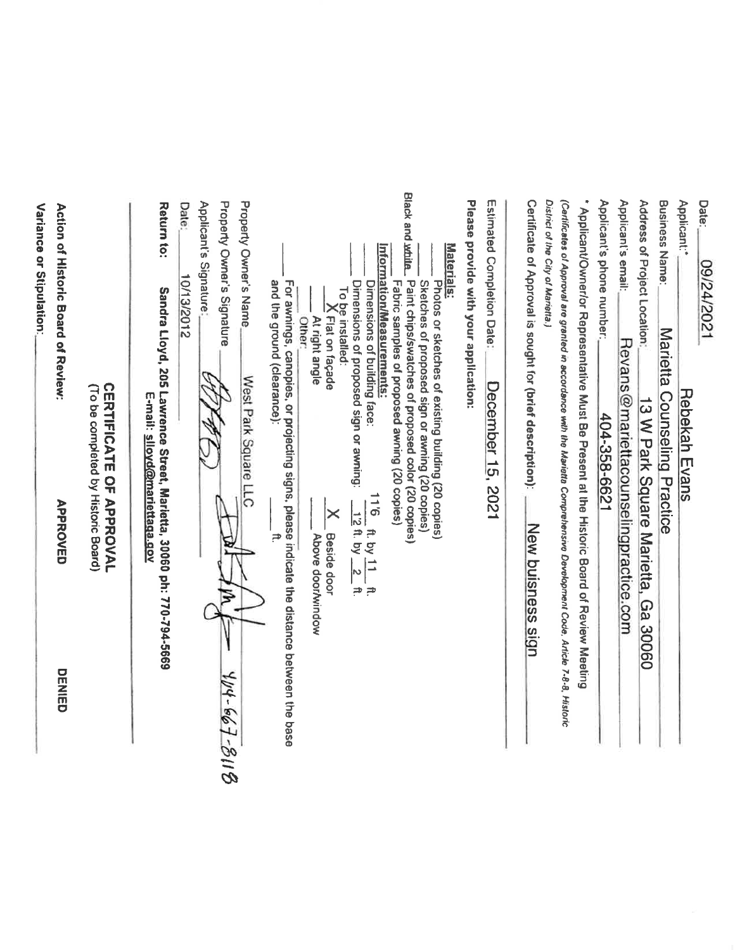| DENIED       | <b>APPROVED</b>                                                                             | (To be completed by Historic Board)                                                                                          | Action of Historic Board of Neview: |
|--------------|---------------------------------------------------------------------------------------------|------------------------------------------------------------------------------------------------------------------------------|-------------------------------------|
|              |                                                                                             | <b>CERTIFICATE OF APPROVAL</b>                                                                                               |                                     |
|              |                                                                                             | Sandra Lloyd, 205 Lawrence Street, Marietta, 30060 ph: 770-794-5669<br>E-mail: slloyd@mariettaga.gov                         | Return to:                          |
|              |                                                                                             | 10/13/2012                                                                                                                   | Date:                               |
|              |                                                                                             |                                                                                                                              | Applicant's Signature               |
| 404.667.8118 |                                                                                             |                                                                                                                              | Property Owner's Signature          |
|              |                                                                                             | West Park Square LLC                                                                                                         | <b>Property Owner's Name</b>        |
|              |                                                                                             | and the ground (clearance):<br>For awnings, canopies, or projecting signs, please indicate the distance between the base     |                                     |
|              |                                                                                             | Other:                                                                                                                       |                                     |
|              | $\bm{\times}$<br><b>Beside door</b><br>Above door/window                                    | K Flat on façade<br>At right angle                                                                                           |                                     |
|              |                                                                                             | To be installed:                                                                                                             |                                     |
|              | 9.11<br>$\frac{128}{2}$ kg by $\frac{2}{2}$<br>$\frac{11}{2}$ kg $\frac{11}{2}$<br>ั∌<br>`≓ | Dimensions of proposed sign or awning:<br>Dimensions of building face:                                                       |                                     |
|              |                                                                                             | Information/Measurements:<br>Fabric samples of proposed awning (20 copies)                                                   |                                     |
|              |                                                                                             | Paint chips/swatches of proposed color (20 copies)<br>Sketches of proposed sign or awning (20 copies)                        | <b>Black and white.</b>             |
|              |                                                                                             | Photos or sketches of existing building (20 copies)                                                                          | Materials:                          |
|              |                                                                                             | Please provide with your application:                                                                                        |                                     |
|              |                                                                                             | December 15, 2021                                                                                                            | Estimated Completion Date           |
|              | <b>New buisness sign</b>                                                                    | Certificate of Approval is sought for (brief description):                                                                   |                                     |
|              |                                                                                             |                                                                                                                              | District of the City of Marietta.)  |
|              |                                                                                             | (Carilicates of Approval are granted in accordance with the Manietta Comprehensive Development Code, Article 7-8-8, Historic |                                     |
|              |                                                                                             | Applicate/Oxner/Oxner/Department of the Strate Present at the Historic Board of Review Messing                               |                                     |
|              |                                                                                             | 104-358-6621                                                                                                                 | Applicant's phone number;           |
|              |                                                                                             | Revans@mariettacounselingpractice.com                                                                                        | Applicant's email:                  |
|              | 6a<br>30060                                                                                 | 13 W Park Square Marietta,                                                                                                   | Address of Project Location:        |
|              |                                                                                             | Marietta Counseling Practice                                                                                                 | <b>Business Name:</b>               |
|              |                                                                                             | <b>Rebekah Evans</b>                                                                                                         | Applicant:                          |
|              |                                                                                             |                                                                                                                              | Date:<br>1202/72/60                 |

Variance or Stipulation: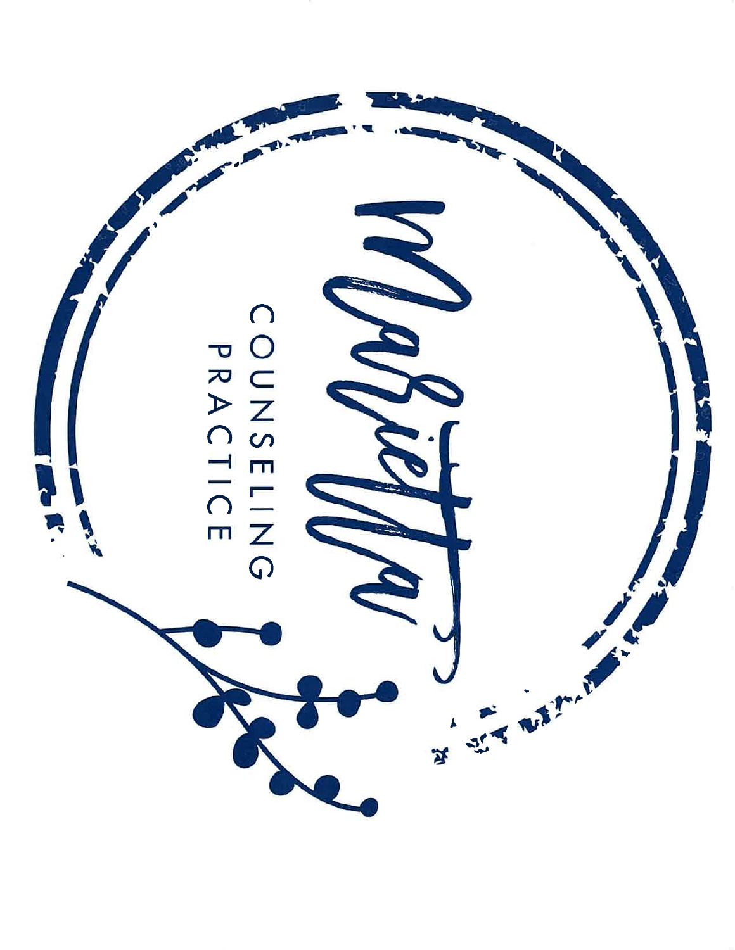COUNSELING

 $\left($ 

THE PLATFORM

55

শ্ব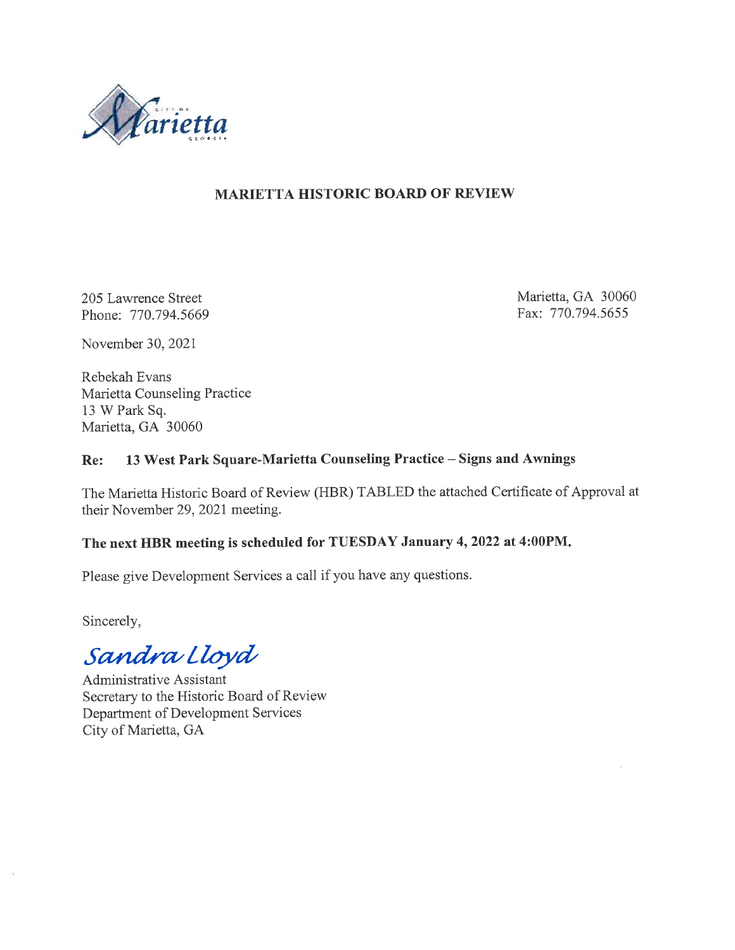

#### **MARIETTA HISTORIC BOARD OF REVIEW**

205 Lawrence Street Phone: 770.794.5669 Marietta, GA 30060 Fax: 770.794.5655

November 30, 2021

Rebekah Evans Marietta Counseling Practice 13 W Park Sq. Marietta, GA 30060

#### 13 West Park Square-Marietta Counseling Practice - Signs and Awnings Re:

The Marietta Historic Board of Review (HBR) TABLED the attached Certificate of Approval at their November 29, 2021 meeting.

# The next HBR meeting is scheduled for TUESDAY January 4, 2022 at 4:00PM.

Please give Development Services a call if you have any questions.

Sincerely,

Sandra Lloyd

Administrative Assistant Secretary to the Historic Board of Review Department of Development Services City of Marietta, GA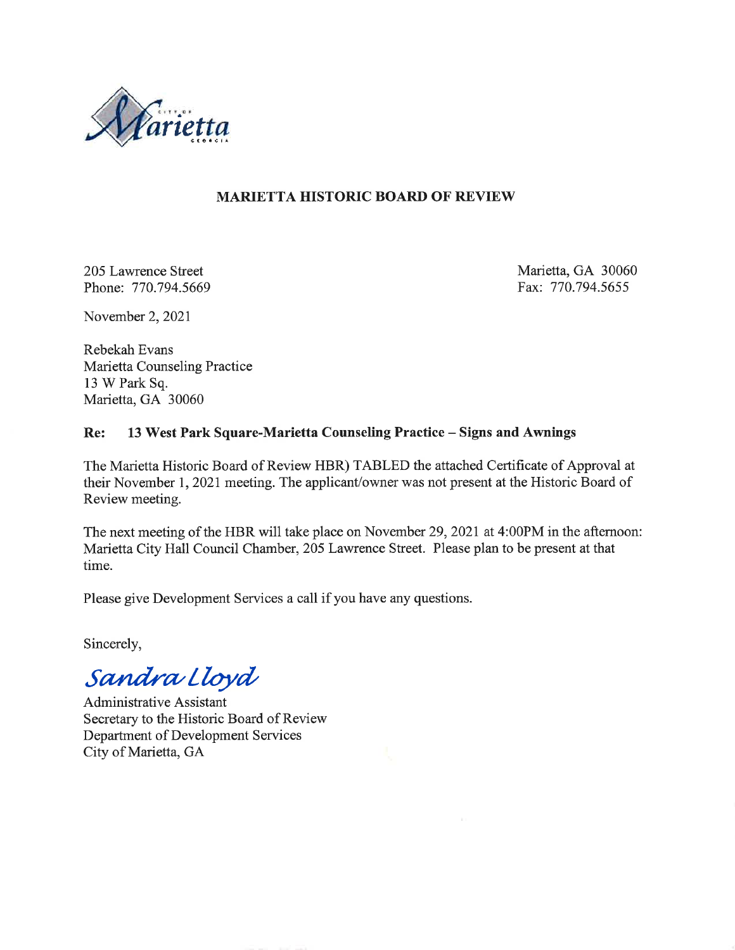

#### **MARIETTA HISTORIC BOARD OF REVIEW**

205 Lawrence Street Phone: 770.794.5669 Marietta, GA 30060 Fax: 770.794.5655

November 2, 2021

Rebekah Evans Marietta Counseling Practice 13 W Park Sq. Marietta, GA 30060

#### Re: 13 West Park Square-Marietta Counseling Practice - Signs and Awnings

The Marietta Historic Board of Review HBR) TABLED the attached Certificate of Approval at their November 1, 2021 meeting. The applicant/owner was not present at the Historic Board of Review meeting.

The next meeting of the HBR will take place on November 29, 2021 at 4:00PM in the afternoon: Marietta City Hall Council Chamber, 205 Lawrence Street. Please plan to be present at that time.

Please give Development Services a call if you have any questions.

Sincerely,

Sandra Lloyd

**Administrative Assistant** Secretary to the Historic Board of Review Department of Development Services City of Marietta, GA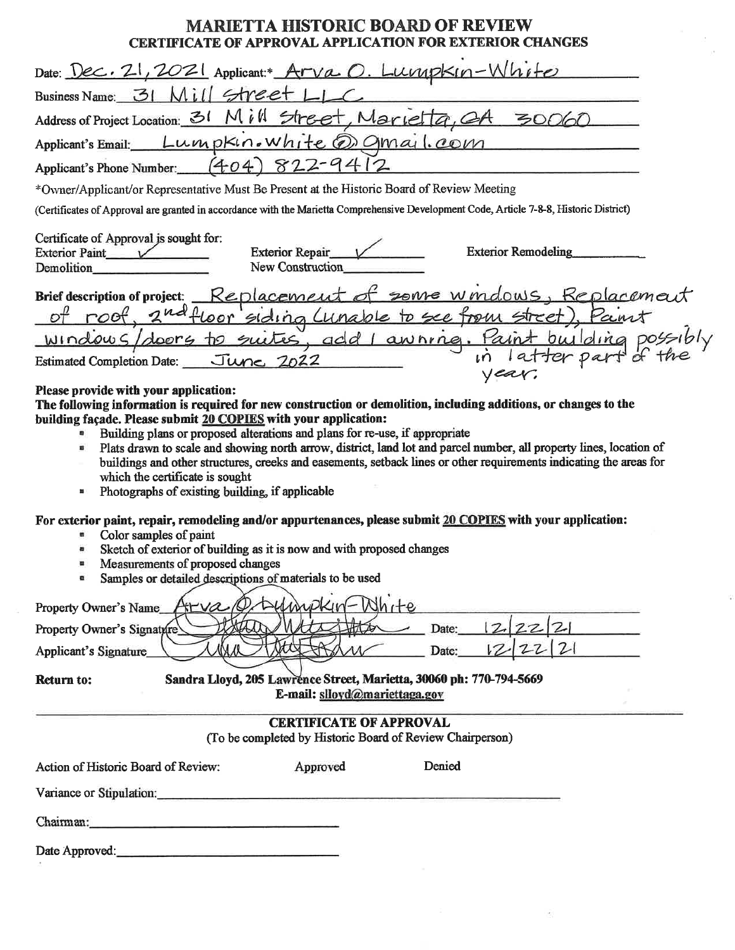### **MARIETTA HISTORIC BOARD OF REVIEW** CERTIFICATE OF APPROVAL APPLICATION FOR EXTERIOR CHANGES

| $umbkin-White$<br>Date: $Dec. 21, 2021$ Applicant: $Arva O.$                                                                                                                                                                                                                                                                                                                                                                                                                                                                                                                                                                                                                                                                                                            |
|-------------------------------------------------------------------------------------------------------------------------------------------------------------------------------------------------------------------------------------------------------------------------------------------------------------------------------------------------------------------------------------------------------------------------------------------------------------------------------------------------------------------------------------------------------------------------------------------------------------------------------------------------------------------------------------------------------------------------------------------------------------------------|
| street<br>Business Name: 31                                                                                                                                                                                                                                                                                                                                                                                                                                                                                                                                                                                                                                                                                                                                             |
| Address of Project Location: 31 Mill<br>Street, Marietta<br>30060                                                                                                                                                                                                                                                                                                                                                                                                                                                                                                                                                                                                                                                                                                       |
| Lumpkin. white @ Omail. com<br>Applicant's Email:                                                                                                                                                                                                                                                                                                                                                                                                                                                                                                                                                                                                                                                                                                                       |
| (4.04)<br>822<br>Applicant's Phone Number:                                                                                                                                                                                                                                                                                                                                                                                                                                                                                                                                                                                                                                                                                                                              |
| *Ovner/Applicant/or Representative Must Be Present at the Historic Board of Review Meeting                                                                                                                                                                                                                                                                                                                                                                                                                                                                                                                                                                                                                                                                              |
| (Certificates of Approval are granted in accordance with the Marietta Comprehensive Development Code, Article 7-8-8, Historic District)                                                                                                                                                                                                                                                                                                                                                                                                                                                                                                                                                                                                                                 |
| Certificate of Approval is sought for:<br><b>Exterior Remodeling</b><br>Exterior Repair<br>Exterior Paint $\sqrt{}$<br>New Construction<br>Demolition                                                                                                                                                                                                                                                                                                                                                                                                                                                                                                                                                                                                                   |
| some windows, Replacement<br>Replacement a<br><b>Brief description of project:</b><br>siding Lunable<br>to see from<br>doors to suites, add awning.<br>WIndowG<br>June 2022<br><b>Estimated Completion Date:</b>                                                                                                                                                                                                                                                                                                                                                                                                                                                                                                                                                        |
| Please provide with your application:<br>The following information is required for new construction or demolition, including additions, or changes to the<br>building façade. Please submit 20 COPIES with your application:<br>Building plans or proposed alterations and plans for re-use, if appropriate<br>Plats drawn to scale and showing north arrow, district, land lot and parcel number, all property lines, location of<br>羀<br>buildings and other structures, creeks and easements, setback lines or other requirements indicating the areas for<br>which the certificate is sought<br>Photographs of existing building, if applicable<br>в<br>For exterior paint, repair, remodeling and/or appurtenances, please submit 20 COPIES with your application: |
| Color samples of paint<br>目<br>Sketch of exterior of building as it is now and with proposed changes<br>a<br>Measurements of proposed changes<br>n<br>Samples or detailed descriptions of materials to be used<br>a                                                                                                                                                                                                                                                                                                                                                                                                                                                                                                                                                     |
| -White<br>ATYA<br>Property Owner's Name<br>$\mathcal{Z}$<br>Date:<br>Property Owner's Signature<br>22 2 <br>12<br>Date:<br>Applicant's Signature                                                                                                                                                                                                                                                                                                                                                                                                                                                                                                                                                                                                                        |
| Sandra Lloyd, 205 Lawrence Street, Marietta, 30060 ph: 770-794-5669<br><b>Return to:</b><br>E-mail: slloyd@mariettaga.gov                                                                                                                                                                                                                                                                                                                                                                                                                                                                                                                                                                                                                                               |
| <b>CERTIFICATE OF APPROVAL</b><br>(To be completed by Historic Board of Review Chairperson)                                                                                                                                                                                                                                                                                                                                                                                                                                                                                                                                                                                                                                                                             |
| Denied<br>Approved<br>Action of Historic Board of Review:                                                                                                                                                                                                                                                                                                                                                                                                                                                                                                                                                                                                                                                                                                               |
| Variance or Stipulation:                                                                                                                                                                                                                                                                                                                                                                                                                                                                                                                                                                                                                                                                                                                                                |
| Chairman:<br>the control of the control of the control of the control of the control of                                                                                                                                                                                                                                                                                                                                                                                                                                                                                                                                                                                                                                                                                 |
| Date Approved:                                                                                                                                                                                                                                                                                                                                                                                                                                                                                                                                                                                                                                                                                                                                                          |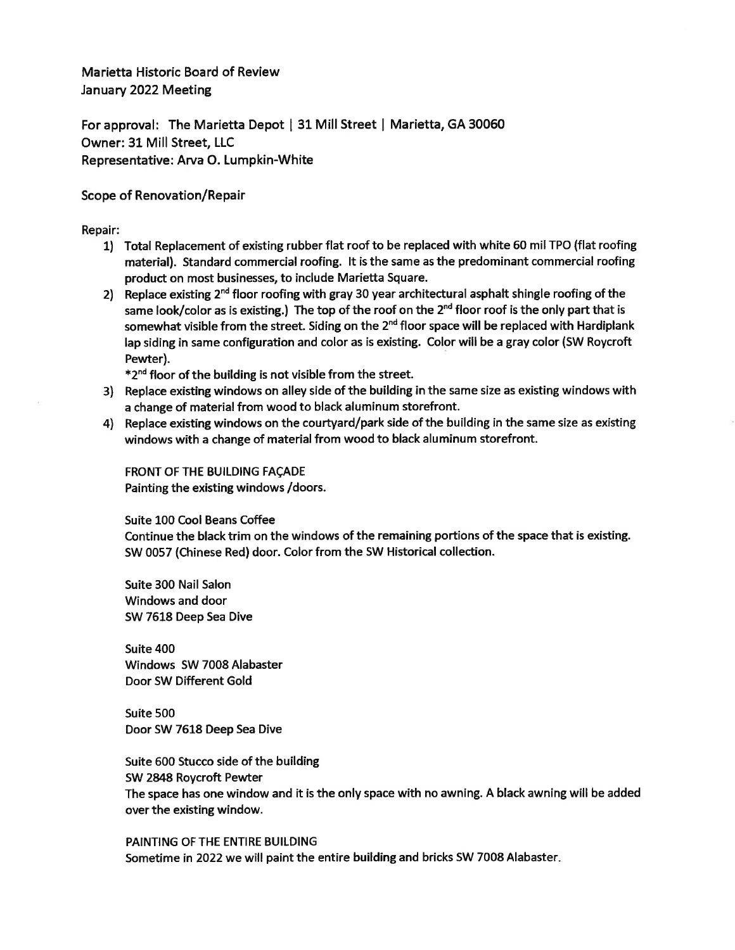Marietta Historic Board of Review January 2022 Meeting

For approval: The Marietta Depot | 31 Mill Street | Marietta, GA 30060 Owner: 31 Mill Street. LLC Representative: Arva O. Lumpkin-White

#### Scope of Renovation/Repair

Repair:

- 1) Total Replacement of existing rubber flat roof to be replaced with white 60 mil TPO (flat roofing material). Standard commercial roofing. It is the same as the predominant commercial roofing product on most businesses, to include Marietta Square.
- 2) Replace existing  $2^{nd}$  floor roofing with gray 30 year architectural asphalt shingle roofing of the same look/color as is existing.) The top of the roof on the  $2^{nd}$  floor roof is the only part that is somewhat visible from the street. Siding on the 2<sup>nd</sup> floor space will be replaced with Hardiplank lap siding in same configuration and color as is existing. Color will be a gray color (SW Roycroft Pewter).

 $*2<sup>nd</sup>$  floor of the building is not visible from the street.

- 3) Replace existing windows on alley side of the building in the same size as existing windows with a change of material from wood to black aluminum storefront.
- 4) Replace existing windows on the courtyard/park side of the building in the same size as existing windows with a change of material from wood to black aluminum storefront.

**FRONT OF THE BUILDING FACADE** Painting the existing windows / doors.

Suite 100 Cool Beans Coffee

Continue the black trim on the windows of the remaining portions of the space that is existing. SW 0057 (Chinese Red) door. Color from the SW Historical collection.

Suite 300 Nail Salon Windows and door SW 7618 Deep Sea Dive

Suite 400 Windows SW 7008 Alabaster Door SW Different Gold

Suite 500 Door SW 7618 Deep Sea Dive

Suite 600 Stucco side of the building SW 2848 Roycroft Pewter The space has one window and it is the only space with no awning. A black awning will be added over the existing window.

PAINTING OF THE ENTIRE BUILDING Sometime in 2022 we will paint the entire building and bricks SW 7008 Alabaster.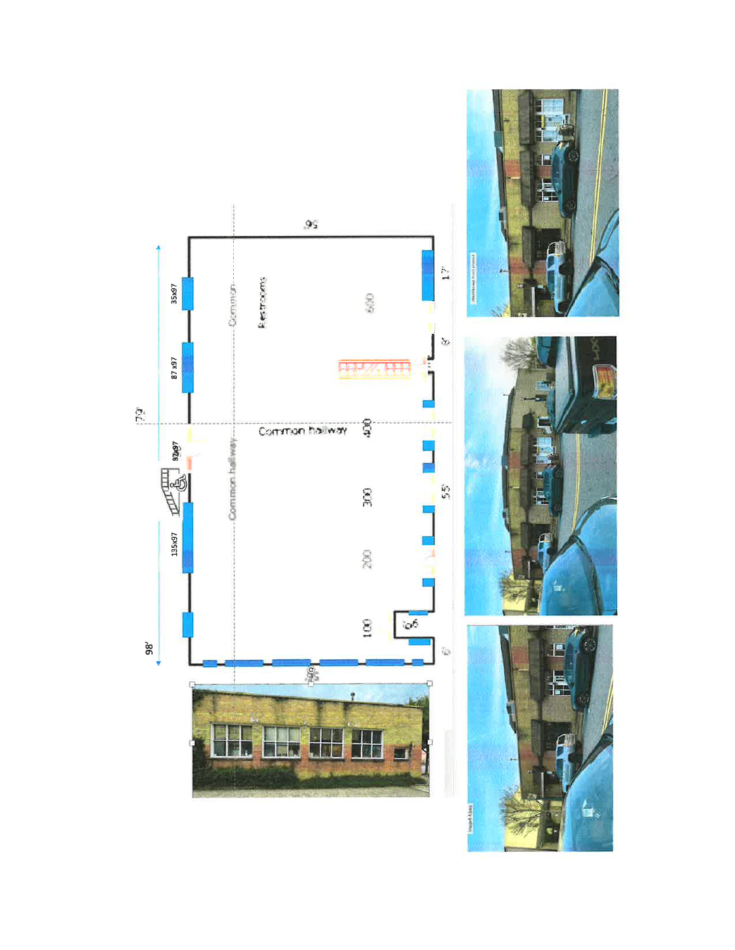





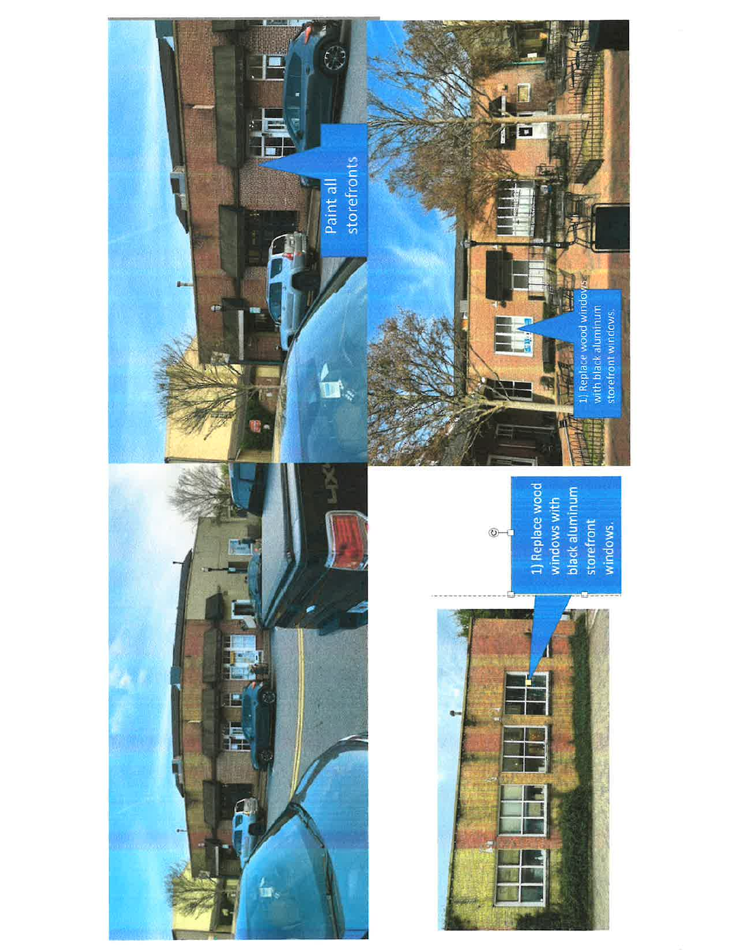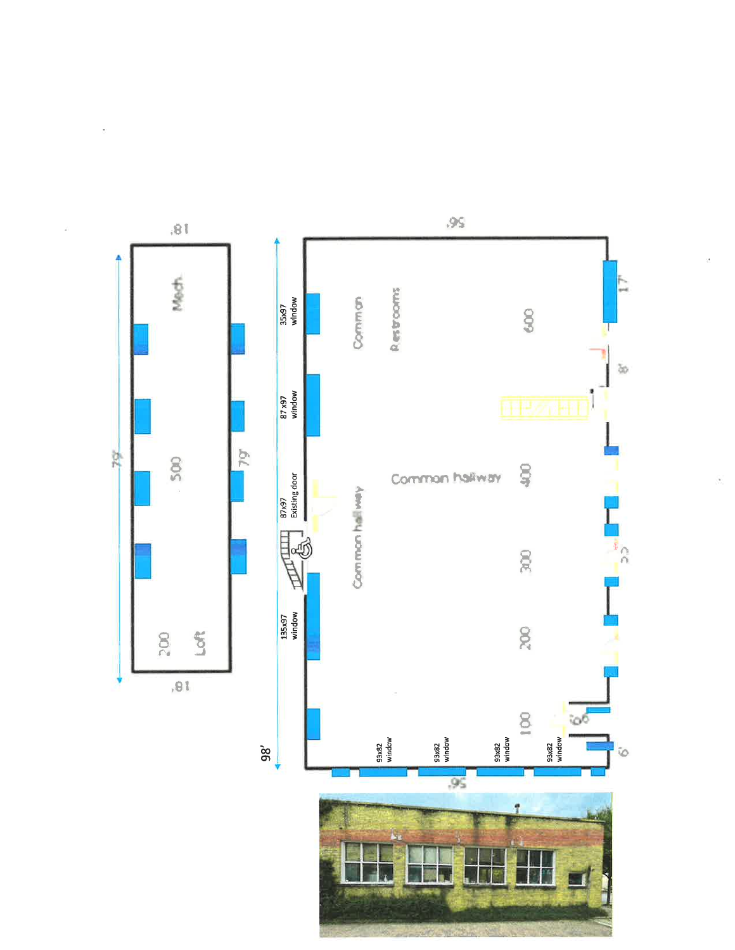